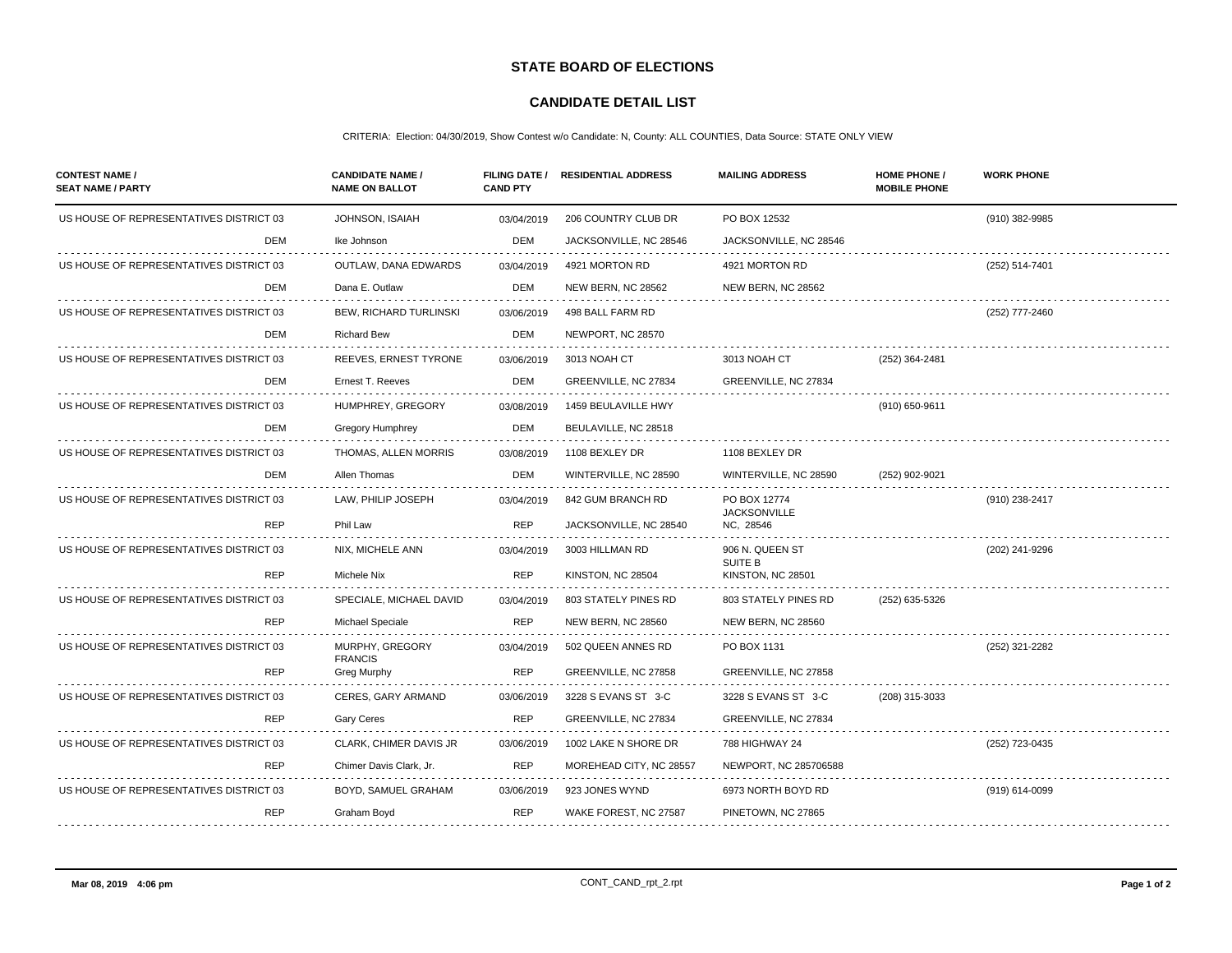## **STATE BOARD OF ELECTIONS**

## **CANDIDATE DETAIL LIST**

## CRITERIA: Election: 04/30/2019, Show Contest w/o Candidate: N, County: ALL COUNTIES, Data Source: STATE ONLY VIEW

| <b>CONTEST NAME /</b><br><b>SEAT NAME / PARTY</b> | <b>CANDIDATE NAME /</b><br><b>NAME ON BALLOT</b> | <b>FILING DATE /</b><br><b>CAND PTY</b> | <b>RESIDENTIAL ADDRESS</b> | <b>MAILING ADDRESS</b>              | <b>HOME PHONE /</b><br><b>MOBILE PHONE</b> | <b>WORK PHONE</b> |
|---------------------------------------------------|--------------------------------------------------|-----------------------------------------|----------------------------|-------------------------------------|--------------------------------------------|-------------------|
| US HOUSE OF REPRESENTATIVES DISTRICT 03<br>DEM    | <b>JOHNSON, ISAIAH</b>                           | 03/04/2019                              | 206 COUNTRY CLUB DR        | PO BOX 12532                        |                                            | (910) 382-9985    |
|                                                   | Ike Johnson                                      | DEM                                     | JACKSONVILLE, NC 28546     | JACKSONVILLE, NC 28546              |                                            |                   |
| US HOUSE OF REPRESENTATIVES DISTRICT 03           | <b>OUTLAW, DANA EDWARDS</b>                      | 03/04/2019                              | 4921 MORTON RD             | 4921 MORTON RD                      |                                            | (252) 514-7401    |
| <b>DEM</b>                                        | Dana E. Outlaw                                   | DEM                                     | NEW BERN, NC 28562         | NEW BERN, NC 28562                  |                                            |                   |
| US HOUSE OF REPRESENTATIVES DISTRICT 03           | BEW, RICHARD TURLINSKI                           | 03/06/2019                              | 498 BALL FARM RD           |                                     |                                            | (252) 777-2460    |
| DEM                                               | <b>Richard Bew</b>                               | DEM                                     | NEWPORT, NC 28570          |                                     |                                            |                   |
| US HOUSE OF REPRESENTATIVES DISTRICT 03           | REEVES, ERNEST TYRONE                            | 03/06/2019                              | 3013 NOAH CT               | 3013 NOAH CT                        | (252) 364-2481                             |                   |
| DEM                                               | Ernest T. Reeves                                 | DEM                                     | GREENVILLE, NC 27834       | GREENVILLE, NC 27834                |                                            |                   |
| US HOUSE OF REPRESENTATIVES DISTRICT 03           | HUMPHREY, GREGORY                                | 03/08/2019                              | 1459 BEULAVILLE HWY        |                                     | (910) 650-9611                             |                   |
| <b>DEM</b>                                        | <b>Gregory Humphrey</b>                          | DEM                                     | BEULAVILLE, NC 28518       |                                     |                                            |                   |
| US HOUSE OF REPRESENTATIVES DISTRICT 03           | THOMAS, ALLEN MORRIS                             | 03/08/2019                              | 1108 BEXLEY DR             | 1108 BEXLEY DR                      |                                            |                   |
| DEM                                               | Allen Thomas                                     | DEM                                     | WINTERVILLE, NC 28590      | WINTERVILLE, NC 28590               | (252) 902-9021                             |                   |
| US HOUSE OF REPRESENTATIVES DISTRICT 03           | LAW, PHILIP JOSEPH                               | 03/04/2019                              | 842 GUM BRANCH RD          | PO BOX 12774                        |                                            | (910) 238-2417    |
| <b>REP</b>                                        | Phil Law                                         | <b>REP</b>                              | JACKSONVILLE, NC 28540     | <b>JACKSONVILLE</b><br>NC, 28546    |                                            |                   |
| US HOUSE OF REPRESENTATIVES DISTRICT 03           | NIX, MICHELE ANN                                 | 03/04/2019                              | 3003 HILLMAN RD            | 906 N. QUEEN ST                     |                                            | (202) 241-9296    |
| <b>REP</b>                                        | Michele Nix                                      | <b>REP</b>                              | KINSTON, NC 28504          | <b>SUITE B</b><br>KINSTON, NC 28501 |                                            |                   |
| US HOUSE OF REPRESENTATIVES DISTRICT 03           | SPECIALE, MICHAEL DAVID                          | 03/04/2019                              | 803 STATELY PINES RD       | 803 STATELY PINES RD                | (252) 635-5326                             |                   |
| <b>REP</b>                                        | Michael Speciale                                 | <b>REP</b>                              | NEW BERN, NC 28560         | NEW BERN, NC 28560                  |                                            |                   |
| US HOUSE OF REPRESENTATIVES DISTRICT 03           | MURPHY, GREGORY                                  | 03/04/2019                              | 502 QUEEN ANNES RD         | PO BOX 1131                         |                                            | (252) 321-2282    |
| <b>REP</b>                                        | <b>FRANCIS</b><br>Greg Murphy                    | <b>REP</b>                              | GREENVILLE, NC 27858       | GREENVILLE, NC 27858                |                                            |                   |
| US HOUSE OF REPRESENTATIVES DISTRICT 03           | CERES, GARY ARMAND                               | 03/06/2019                              | 3228 S EVANS ST 3-C        | 3228 S EVANS ST 3-C                 | (208) 315-3033                             |                   |
| <b>REP</b>                                        | <b>Gary Ceres</b>                                | <b>REP</b>                              | GREENVILLE, NC 27834       | GREENVILLE, NC 27834                |                                            |                   |
| US HOUSE OF REPRESENTATIVES DISTRICT 03           | CLARK, CHIMER DAVIS JR                           | 03/06/2019                              | 1002 LAKE N SHORE DR       | 788 HIGHWAY 24                      |                                            | (252) 723-0435    |
| <b>REP</b>                                        | Chimer Davis Clark, Jr.                          | <b>REP</b>                              | MOREHEAD CITY, NC 28557    | NEWPORT, NC 285706588               |                                            |                   |
| US HOUSE OF REPRESENTATIVES DISTRICT 03           | BOYD, SAMUEL GRAHAM                              | 03/06/2019                              | 923 JONES WYND             | 6973 NORTH BOYD RD                  |                                            | (919) 614-0099    |
| <b>REP</b>                                        | Graham Boyd                                      | <b>REP</b>                              | WAKE FOREST, NC 27587      | PINETOWN, NC 27865                  |                                            |                   |
|                                                   |                                                  |                                         |                            |                                     |                                            |                   |